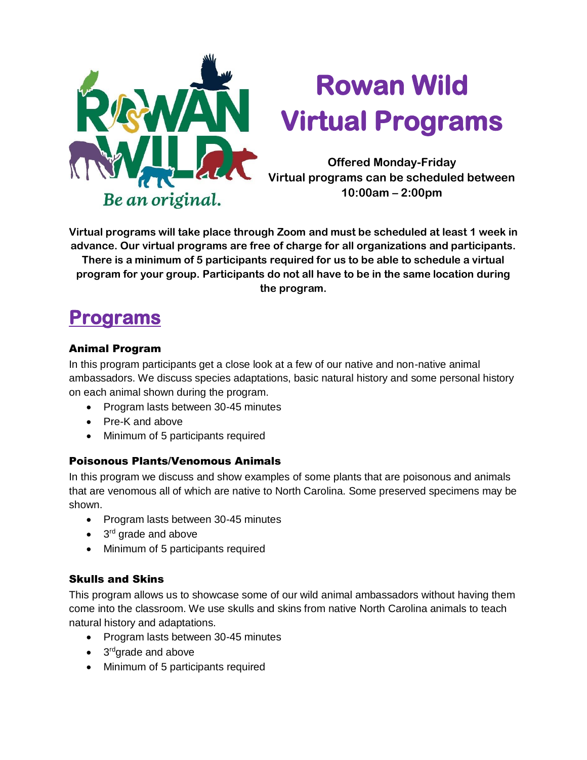

# **Rowan Wild Virtual Programs**

**Offered Monday-Friday Virtual programs can be scheduled between 10:00am – 2:00pm** 

**Virtual programs will take place through Zoom and must be scheduled at least 1 week in advance. Our virtual programs are free of charge for all organizations and participants.** 

**There is a minimum of 5 participants required for us to be able to schedule a virtual program for your group. Participants do not all have to be in the same location during the program.**

# **Programs**

## Animal Program

In this program participants get a close look at a few of our native and non-native animal ambassadors. We discuss species adaptations, basic natural history and some personal history on each animal shown during the program.

- Program lasts between 30-45 minutes
- Pre-K and above
- Minimum of 5 participants required

# Poisonous Plants/Venomous Animals

In this program we discuss and show examples of some plants that are poisonous and animals that are venomous all of which are native to North Carolina. Some preserved specimens may be shown.

- Program lasts between 30-45 minutes
- 3<sup>rd</sup> grade and above
- Minimum of 5 participants required

# Skulls and Skins

This program allows us to showcase some of our wild animal ambassadors without having them come into the classroom. We use skulls and skins from native North Carolina animals to teach natural history and adaptations.

- Program lasts between 30-45 minutes
- 3<sup>rd</sup>grade and above
- Minimum of 5 participants required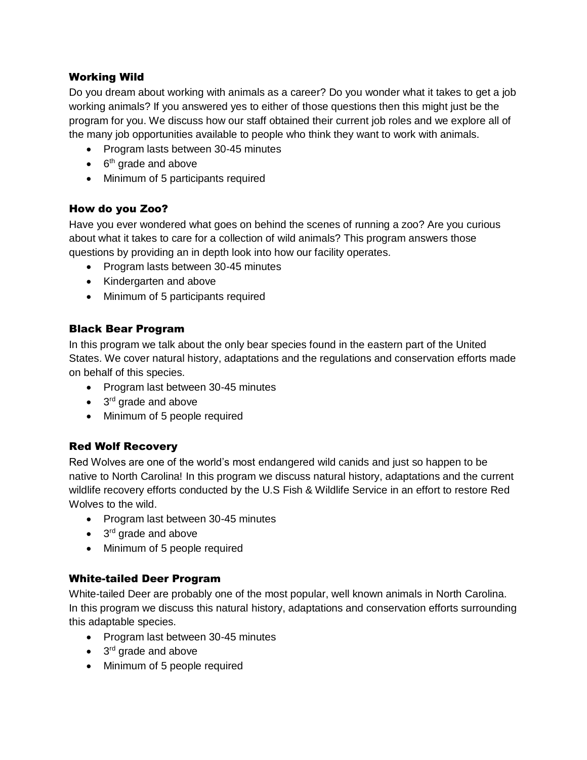#### Working Wild

Do you dream about working with animals as a career? Do you wonder what it takes to get a job working animals? If you answered yes to either of those questions then this might just be the program for you. We discuss how our staff obtained their current job roles and we explore all of the many job opportunities available to people who think they want to work with animals.

- Program lasts between 30-45 minutes
- $\bullet$  6<sup>th</sup> grade and above
- Minimum of 5 participants required

#### How do you Zoo?

Have you ever wondered what goes on behind the scenes of running a zoo? Are you curious about what it takes to care for a collection of wild animals? This program answers those questions by providing an in depth look into how our facility operates.

- Program lasts between 30-45 minutes
- Kindergarten and above
- Minimum of 5 participants required

#### Black Bear Program

In this program we talk about the only bear species found in the eastern part of the United States. We cover natural history, adaptations and the regulations and conservation efforts made on behalf of this species.

- Program last between 30-45 minutes
- 3<sup>rd</sup> grade and above
- Minimum of 5 people required

#### Red Wolf Recovery

Red Wolves are one of the world's most endangered wild canids and just so happen to be native to North Carolina! In this program we discuss natural history, adaptations and the current wildlife recovery efforts conducted by the U.S Fish & Wildlife Service in an effort to restore Red Wolves to the wild.

- Program last between 30-45 minutes
- 3<sup>rd</sup> grade and above
- Minimum of 5 people required

#### White-tailed Deer Program

White-tailed Deer are probably one of the most popular, well known animals in North Carolina. In this program we discuss this natural history, adaptations and conservation efforts surrounding this adaptable species.

- Program last between 30-45 minutes
- 3<sup>rd</sup> grade and above
- Minimum of 5 people required